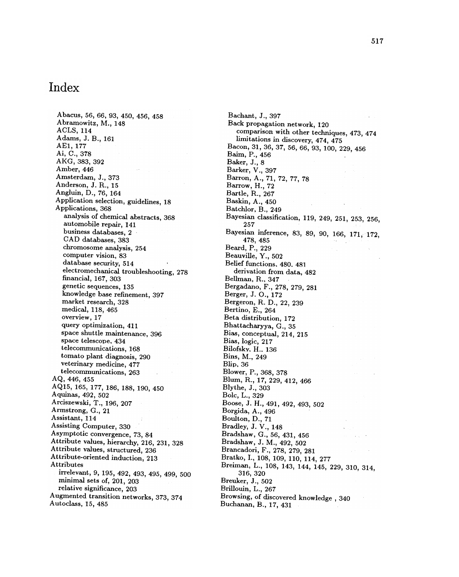## Index

Abacus , 56, 66, 93, 450, 456, 458 Abramowitz, M., 148 ACLS, 114 Adams, J. B., 161 AE1, 177 Ai, C., 378 AKG, 383, 392 Amber, 446 Amsterdam, J., 373 Anderson, J. R., 15 Angluin, D., 76, 164 Application selection, guidelines, 18 Applications, 368 analysis of chemical abstracts, 368 automobile repair, 141 business databases, 2 CAD databases, 383 chromosome analysis, 254 computer vision, 83 database security, 514 electromechanical troubleshooting, 278 financial, 167, 303 genetic sequences, 135 knowledge base refinement, 397 market research, 328 medical, 118, 465 overview, 17 query optimization, 411 space shuttle maintenance, 396 space telescope. 434 telecommunications , 168 tomato plant diagnosis, 290 veterinary medicine, 477 telecommunications, 263 AQ, 446, 455 AQ15 , 165, 177, 186, 188, 190, 450 Aquinas, 492, 502 Arciszewski, T., 196, 207 Armstrong, G., 21 Assistant, 114 Assisting Computer, 330 Asymptotic convergence, 73, 84 Attribute values, hierarchy, 216, 231, 328 Attribute values, structured, 236 Attribute-oriented induction, 213 Attributes irrelevant, 9, 195, 492, 493, 495, 499, 500 minimal sets of, 201, 203 relative significance, 203 Augmented transition networks, 373, 374 Autoclass, 15, 485

Bachant, J., 397 Back propagation network, 120 comparison with other techniques, 473, 474 limitations in discovery, 474, 475 Bacon, 31, 36, 37, 56, 66, 93, 100, 229, 456 Baim, P., 456 Baker, J., 8 Barker, V., 397 Barron, A., 71, 72, 77, 78 Barrow, H., 72 Bartle, R., 267 Baskin, A., 450 Batchlor, B., 249 Bayesian classification, 119, 249, 251, 253, 256, 257 Bayesian inference, 83, 89, 90, 166, 171, 172, 478 , 485 Beard, P., 229 Beauville, Y., 502 Belief functions, 480. 481 derivation from data, 482 Bellman, R., 347 Bergadano, F., 278, 279, 281 Berger, J. O., 172 Bergeron, R. D., 22, 239 Bertino, E., 264 Beta distribution, 172 Bhattacharyya, G., 35 Bias, conceptual, 214, 215 Bias, logic, 217 Bilofsky, H., 136 Bins, M., 249 Blip, 36 Blower, P., 368, 378 Blum, R., 17, 229, 412, 466 Blythe, J., 303 Bolc, L., 329 Boose, J. H., 491, 492, 493, 502 Borgida, A., 496 Boulton, D., 71 Bradley, J. V., 148 Bradshaw, G., 56, 431, 456 Bradshaw, J. M., 492, 502 Brancadori, F., 278, 279, 281 Bratko, I., 108, 109, 110, 114, 277 Breiman, L., 108, 143, 144, 145, 229, 310, 314, 316 , 320 Breuker, J., 502 Brillouin, L., 267 Browsing, of discovered knowledge, 340 Buchanan, B., 17, 431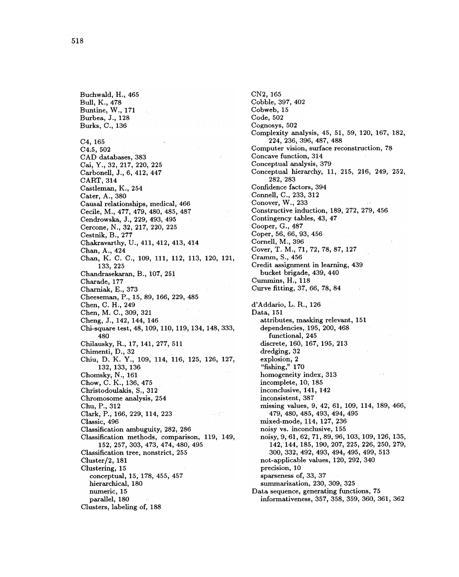hierarchical, 180 numeric, 15 parallel, 180 Clusters, labeling of, 188 Buchwald, H., 465 Bull, K., 478 Buntine, W., 171 Burbea, J., 128 Burks, C., 136 C4, 165  $C4.5, 502$ CAD databases, 383 Cai, Y., 32, 217, 220, 225 Carbonell, J., 6, 412, 447 CART, 314 Castleman, K., 254 Cater, A., 380 Causal relationships, medical, 466 Cecile, M., 477, 479, 480, 485, 487 Cendrowska, J., 229, 493, 495 Cercone, N., 32, 217, 220, 225 Cestnik, B., 277 Chakravarthy, U., 411, 412, 413, 414 Chan, A., 424 Chan, K. C. C., 109, 111, 112, 113, 120, 121, 133, 225 Chandrasekaran, B., 107, 251 Charade, 177 Charniak, E., 373 Cheeseman, P., 15, 89, 166, 229, 485 Chen, C. H., 249 Chen, M. C., 309, 321 Cheng, J., 142, 144, 146 Chi-square test, 48, 109, 110, 119, 134, 148, 333, 480 Chilausky, R., 17, 141, 277, 511 Chimenti, D., 32 Chiu, D. K. Y., 109, 114, 116, 125, 126, 127, 132, 133, 136 Chomsky, N., 161 Chow, C. K., 136, 475 Christodoulakis, S., 312 Chromosome analysis, 254 Chu, P., 312 Clark, P., 166, 229, 114, 223 Classic, 496 Classification ambuguity, 282, 286 Classification methods, comparison, 119, 149, 152, 257, 303, 473, 474, 480, 495 Classification tree, nonstrict, 255 Cluster/2, 181 Clustering, 15 conceptual, 15, 178, 455, 457

CN2, 165 Cobble, 397, 402 Cobweb, 15 Code, 502 Cognosys, 502 Complexity analysis, 45, 51, 59, 120, 167, 182, 224 , 236 , 396 , 487 , 488 Computer vision, surface reconstruction, 78 Concave function, 314 Conceptual analysis, 379 Conceptual hierarchy, 11, 215, 216, 249, 252, 282 , 283 Confidence factors, 394 Connell, C., 233, 312 Conover, W., 233 Constructive induction, 189, 272, 279, 456 Contingency tables, 43, 47 Cooper, G., 487 Coper, 56, 66, 93, 456 Cornell, M., 396 Cover, T. M., 71, 72, 78, 87, 127 Cramm, S., 456 Credit assignment in learning, 439 bucket brigade, 439, 440 Cummins, H., 118 Curve fitting, 37, 66, 78, 84 d'Addario, L. R., 126 Data, 151 attributes, masking relevant, 151 dependencies, 195, 200, 468 functional, 245 discrete, 160, 167, 195, 213 dredging, 32 explosion, 2 "fishing," 170 homogeneity index, 313 incomplete, 10; 185 inconclusive, 141, 142 inconsistent, 387 missing values, 9, 42, 61, 109, 114, 189, 466, 479 , 480 , 485 , 493 , 494 , 495 mixed-mode, 114, 127, 236 noisy vs. inconclusive, 155 noisy, 9, 61, 62, 71, 89, 96, 103, 109, 126, 135, 142, 144, 185, 190, 207, 225, 226, 250, 279, 300 , 332 , 492 , 493 , 494 , 495 , 499 , 513 not-applicable values, 120, 292, 340 precision, 10 sparseness of, 33, 37 summarization, 230, 309, 325 Data sequence, generating functions, 75 informativeness , 357 , 358 , 359 , 360 , 361 , 362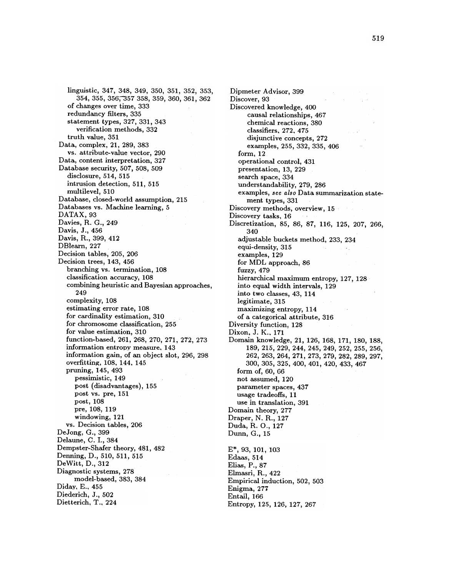linguistic, 347, 348, 349, 350, 351, 352, 353, 354 , 355 , 356 ~ 57 358 , 359 , 360 , 361 , 362 of changes over time, 333 redundancy filters, 335 statement types, 327, 331, 343 verification methods, 332 truth value, 351 Data, complex, 21, 289, 383 vs. attribute-value vector, 290 Data, content interpretation, 327 Database security, 507, 508, 509 disclosure, 514, 515 intrusion detection, 511, 515 multilevel, 510 Database, closed-world assumption, 215 Databases vs. Machine learning, 5 DATAX, 93 Davies, R. G., 249 Davis, J., 456 Davis, R., 399, 412 DBlearn, 227 Decision tables, 205, 206 Decision trees, 143, 456 branching vs. termination, 108 classification accuracy , 108 combining heuristic and Bayesian approaches , 249 complexity, 108 estimating error rate, 108 for cardinality estimation, 310 for chromosome classification, 255 for value estimation, 310 function-based, 261, 268, 270, 271, 272, 273 information entropy measure, 143 information gain, of an object slot, 296, 298 overfitting, 108, 144, 145 pruning, 145, 493 pessimistic, 149 post (disadvantages), 155 post vs. pre, 151 post, 108 pre, 108, 119 windowing, 121 vs. Decision tables, 206 DeJong, G., 399 Delaune, C. I., 384 Dempster-Shafer theory, 481, 482 Denning, D., 510, 511, 515 DeWitt, D., 312 Diagnostic systems, 278 model-based, 383, 384 Diday, E., 455 Diederich, J., 502 Dietterich, T., 224

E\*, 93, 101, 103 Edaas, 514 Elias, P., 87 Elmasri, R., 422 Empirical induction, 502, 503 Dipmeter Advisor, 399 Discover, 93 Discovered knowledge, 400 causal relationships, 467 chemical reactions , 380 classifiers. 272. 475 disjunctive concepts, 272 examples, 255, 332, 335, 406  $form, 12$ operational control, 431 presentation, 13, 229 search space, 334 understandability, 279, 286 examples, see also Data summarization statement types, 331 Discovery methods, overview, 15 Discovery tasks, 16 Discretization, 85, 86, 87, 116, 125, 207, 266, 340 adjustable buckets method, 233, 234 equi-density, 315 examples, 129 for MDL approach, 86 fuzzy, 479 hierarchical maximum entropy, 127, 128 into equal width intervals, 129 into two classes, 43, 114 legitimate, 315 maximizing entropy, 114 of a categorical attribute, 316 Diversity function, 128 Dixon, J. K., 171 Domain knowledge, 21, 126, 168, 171, 180, 188, 189, 215, 229, 244, 245, 249, 252, 255, 256, 262, 263, 264, 271, 273, 279, 282, 289, 297, 300, 305, 325, 400, 401, 420, 433, 467 form of, 60, 66 not assumed, 120 parameter spaces, 437 usage tradeoffs, 11 use in translation, 391 Domain theory, 277 Draper, N. R., 127 Duda, R. O., 127 Dunn, G., 15

Enigma, 277 Entail, 166

Entropy, 125, 126, 127, 267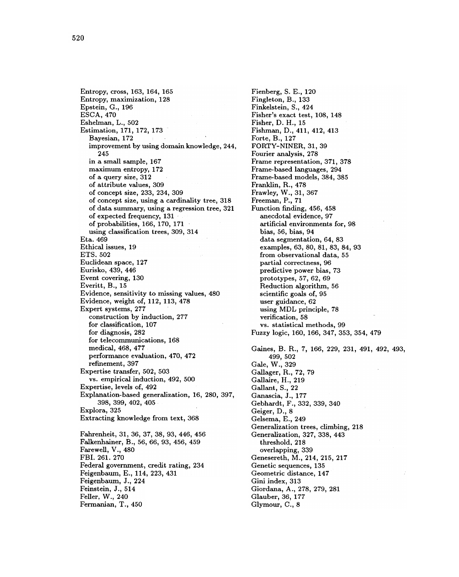Entropy, cross, 163, 164, 165 Entropy, maximization, 128 Epstein, G., 196 ESCA, 470 Eshelman, L., 502 Estimation, 171, 172, 173 Bayesian, 172 improvement by using domain knowledge, 244, 245 in a small sample, 167 maximum entropy, 172 of a query size, 312 of attribute values, 309 of concept size, 233, 234, 309 of concept size, using a cardinality tree, 318 of data summary, using a regression tree, 321 of expected frequency, 131 of probabilities, 166, 170, 171 using classification trees, 309, 314 Eta. 469 Ethical issues, 19 ETS. 502 Euclidean space, 127 Eurisko, 439, 446 Event covering, 130 Everitt, B., 15 Evidence, sensitivity to missing values, 480 Evidence, weight of, 112, 113, 478 Expert systems, 277 construction by induction, 277 for classification, 107 for diagnosis, 282 for telecommunications, 168 medical, 468, 477 performance evaluation, 470, 472 refinement, 397 Expertise transfer, 502, 503 vs. empirical induction, 492, 500 Expertise, levels of, 492 Explanation-based generalization, 16, 280, 397, 398, 399, 402, 405 Explora, 325 Extracting knowledge from text, 368 Fahrenheit, 31, 36, 37, 38, 93, 446, 456 Falkenhainer, B., 56, 66, 93, 456, 459 Farewell, V., 480 FBI. 261. 270 Federal government, credit rating, 234 Feigenbaum, E., 114, 223, 431 Feigenbaum, J., 224 Feinstein, J., 514 Feller, W., 240

Fermanian, T., 450

Fienberg, S. E., 120 Fingleton, B., 133 Finkelstein, S., 424 Fisher's exact test, 108, 148 Fisher, D. H., 15 Fishman, D., 411, 412, 413 Forte, B., 127 FORTY-NINER, 31, 39 Fourier analysis, 278 Frame representation, 371, 378 Frame -based languages , 294 Frame-based models, 384, 385 Franklin, R., 478 Frawley, W., 31, 367 Freeman, P., 71 Function finding, 456, 458 anecdotal evidence, 97 artificial environments for, 98 bias, 56, bias, 94 data segmentation, 64, 83 examples, 63, 80, 81, 83, 84, 93 from observational data, 55 partial correctness, 96 predictive power bias, 73 prototypes, 57, 62, 69 Reduction algorithm, 56 scientific goals of, 95 user guidance, 62 using MDL principle, 78 verification, 58 vs. statistical methods, 99 Fuzzy logic, 160, 166, 347, 353, 354, 479 Gaines, B. R., 7, 166, 229, 231, 491, 492, 493, 499, 502 4*99*, JU Gale, W., 02 Gallager, R., 72, 79 Gallaire, H., 219 Gallant, S., 22 Ganascia, J., 177 Gebhardt, F., 332, 339, 340 Geiger, D., 8 Gelsema, E., 249 Generalization trees, climbing, 218 Generalization, 327, 338, 443 threshold, 218 overlapping, 339 Genesereth, M., 214, 215, 217 Genetic sequences, 135 Geometric distance, 147 Gini index, 313 Giordana, A., 278, 279, 281 Glauber, 36, 177 Glymour, C., 8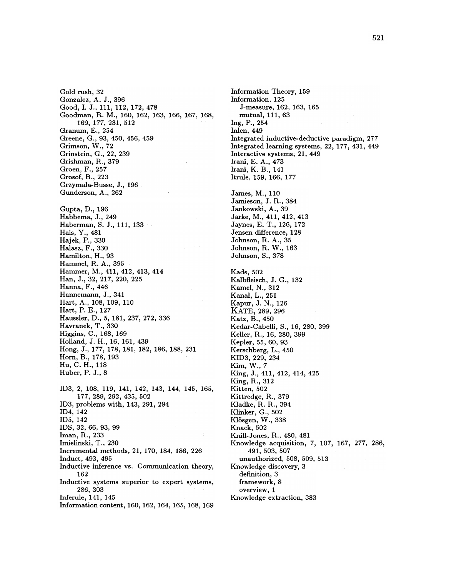Gold rush, 32 Gonzalez, A. J., 396 Good, I. J., 111, 112, 172, 478 Goodman, R. M., 160, 162, 163, 166, 167, 168, 169, 177, 231, 512 Granum, E., 254 Greene, G., 93, 450, 456, 459 Grimson, W., 72 Grinstein, G., 22, 239 Grishman, R., 379 Groen, F., 257 Grosof, B., 223 Grzymala-Busse, J., 196 Gunderson, A., 262 Gupta, D., 196 Habbema, J., 249 Haberman, S. J., 111, 133 Hais, Y., 481 Hajek, P., 330 Halasz, F., 330 Hamilton, H., 93 Hammel, R. A., 395 Hammer, M., 411, 412, 413, 414 Han, J., 32, 217, 220, 225 Hanna, F., 446 Hannemann, J., 341 Hart, A., 108, 109, 110 Hart, P. E., 127 Haussler, D., 5, 181, 237, 272, 336 Havranek, T., 330 Higgins, C., 168, 169 Holland, J. H., 16, 161, 439 Hong, J., 177, 178, 181, 182, 186, 188, 231 Horn, B., 178, 193 Hu, C. H., 118 Huber, P. J., 8 ID3, 2, 108, 119, 141, 142, 143, 144, 145, 165, 177, 289, 292, 435, 502 ID3, problems with, 143, 291, 294 ID4, 142 ID5, 142 IDS, 32, 66, 93, 99 Iman, R., 233 Imielinski, T., 230 Incremental methods, 21, 170, 184, 186, 226 Induct, 493, 495 Inductive inference vs. Communication theory, 162 Inductive systems superior to expert systems, 286, 303 Inferule, 141, 145 Information content, 160, 162, 164, 165, 168, 169

Information Theory, 159 Information, 125 J-measure, 162, 163, 165 mutual, 111, 63 Ing, P., 254 Inlen, 449 Integrated inductive-deductive paradigm, 277 Integrated learning systems, 22, 177, 431, 449 Interactive systems, 21, 449 Irani, E. A., 473 Irani, K. B., 141 Itrule, 159, 166, 177 James, M., 110 Jamieson, J. R., 384 Jankowski, A., 39 Jarke, M., 411, 412, 413 Jaynes, E. T., 126, 172 Jensen difference, 128 Johnson, R. A., 35 Johnson, R. W., 163 Johnson, S., 378 **Kads**, 502 Kalbfleisch, J. G., 132 Kamel, N., 312 Kanal, L., 251 Kapur, J. N., 126 KATE, 289, 296 Katz, B., 450 Kedar-Cabelli, S., 16, 280, 399 Keller, R., 16, 280, 399 Kepler, 55, 60, 93 Kerschberg, L., 450 KID3, 229, 234 Kim, W., 7 King, J., 411, 412, 414, 425 King, R., 312 Kitten, 502 Kittredge, R., 379 Kladke, R. R., 394 Klinker, G., 502 Klösgen, W., 338 Knack, 502 Knill-Jones, R., 480, 481 Knowledge acquisition, 7, 107, 167, 277, 286, 491, 503, 507 unauthorized, 508, 509, 513 Knowledge discovery, 3 definition, 3 framework, 8 overview, 1 Knowledge extraction, 383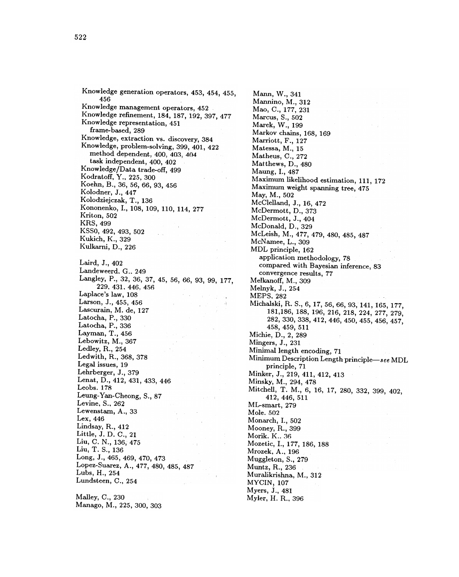Knowledge generation operators, 453, 454, 455, 456 Knowledge management operators, 452 Knowledge refinement, 184, 187, 192, 397, 477 Knowledge representation, 451 frame-based, 289 Knowledge, extraction vs. discovery, 384 Knowledge, problem-solving, 399, 401, 422 method dependent, 400, 403, 404 task independent, 400, 402 Knowledge/Data trade-off, 499 Kodratoff, Y., 225, 300 Koehn, B., 36, 56, 66, 93, 456 Kolodner, J., 447 Kolodziejczak, T., 136 Kononenko, I., 108, 109, 110, 114, 277 Kriton, 502 KRS, 499 KSSO, 492, 493, 502 Kukich, K., 329 Kulkarni, D., 226 Laird, J., 402 Landeweerd. G.. 249 Langley, P., 32, 36, 37, 45, 56, 66, 93, 99, 177, 229. 431. 446. 456 Laplace's law, 108 Larson, J., 455, 456 Lascurain, M. de, 127 Latocha, P., 330 Latocha, P., 336 Layman, T., 456 Lebowitz, M., 367 Ledley, R., 254 Ledwith, R., 368, 378 Legal issues, 19 Lehrberger, J., 379 Lenat, D., 412, 431, 433, 446 Leobs. 178 Leung- Yan-Cheong, S., 87 Levine, S., 262 Lewenstam, A., 33 Lex, 446 Lindsay, R., 412 Little, J. D. C., 21 Liu, C. N., 136, 475 Liu, T. S., 136 Long, J., 465, 469, 470, 473 Lopez-Suarez, A., 477, 480, 485, 487 Lubs, H., 254 Lundsteen, C., 254

Malley, C., 230 Manago, M., 225, 300, 303 Muralikrishna, M., 312 MYCIN, 107 Myers, J., 481 Myler, H. R., 396 Mann, W., 341 Mannino, M., 312 Mao, C., 177, 231 Marcus, S., 502 Marek, W., 199 Markov chains, 168, 169 Marriott, F., 127 Matessa, M., 15 Matheus, C., 272 Matthews, D., 480 Maung, I., 487 Maximum likelihood estimation, 111, 172 Maximum weight spanning tree, 475 May, M., 502 McClelland, J., 16, 472 McDermott, D., 373 McDermott, J., 404 McDonald, D., 329 McLeish, M., 477, 479, 480, 485, 487 McNamee, L., 309 MDL principle, 162 application methodology, 78 compared with Bayesian inference, 83 convergence results, 77 Melkanoff, M., 309 Melnyk, J., 254 MEPS, 282 Michalski, R. S., 6, 17, 56, 66, 93, 141, 165, 177, 181, 186, 188, 196, 216, 218, 224, 277, 279, 282, 330, 338, 412, 446, 450, 455, 456, 457, 458 , 459 , 511 Michie, D., 2, 289 Mingers, J., 231 Minimal length encoding, 71 Minimum Description Length principle-see MDL principle, 71 Minker, J., 219, 411, 412, 413 Minsky, M., 294, 478 Mitchell, T. M., 6, 16, 17, 280, 332, 399, 402, 412 , 446 , 511 ML-smart, 279 Mole. 502 Monarch, I., 502 Mooney, R., 399 Morik. K.. 36 Mozetic, I., 177, 186, 188 Mrozek, A., 196 Muggleton, S., 279 Muntz, R., 236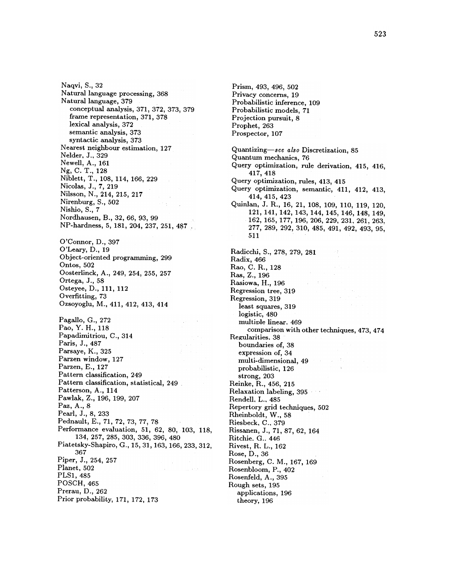O'Connor, D., 397 O'Leary, D., 19 Object-oriented programming, 299 Ontos, 502 Oosterlinck, A., 249, 254, 255, 257 Ortega, J., 58 Osteyee, D., 111, 112 Overfitting, 73 Ozsoyoglu, M., 411, 412, 413, 414 PLS1, 485 POSCH, 465 Prerau, D., 262 Prior probability, 171, 172, 173 Naqvi, S., 32 Natural language processing, 368 Natural language, 379 conceptual analysis , 371, 372, 373, 379 frame representation, 371, 378 lexical analysis, 372 semantic analysis, 373 syntactic analysis, 373 Nearest neighbour estimation, 127 NeIder, J.. 329 Newell, A ., 161 Ng, C. T., 128 Niblett, T., 108, 114, 166, 229 Nicolas, J., 7, 219 Nilsson, N., 214, 215, 217 Nirenburg, S., 502 Nishio, S., 7 Nordhausen, B., 32, 66, 93, 99 NP-hardness, 5, 181, 204, 237, 251, 487 Pagallo, G., 272 Pao, Y. H., 118<br>Papadimitriou, C., 314  $\blacksquare$ Paris , J . , 487 Parsaye, K., 325 Parzen window, 127 Parzen, E., 127<br>Pattern classification, 249 Pattem classification , 249 Pattern classification , statistical , 249 Patterson, A., 114 Pawlak, Z., 196, 199, 207 Paz, A., 8 Pearl, J., 8, 233 Pednault, E., 71, 72, 73, 77, 78 Performance evaluation, 51, 62, 80, 103, 118, 134, 257, 285, 303, 336, 396, 480 Piatetsky-Shapiro, G., 15, 31, 163, 166, 233, 312, 367 Piper, J., 254, 257 Planet, 502

Probabilistic inference, 109 Probabilistic models, 71 Projection pursuit, 8 Prophet, 263 Prospector, 107 strong, 203 Reinke, R., 456, 215 Relaxation labeling, 395 Rendell, L., 485 Repertory grid techniques, 502 Rheinboldt, W., 58 Riesbeck, C., 379 Rissanen, J., 71, 87, 62, 164 Ritchie. G., 446 Rivest, R. L., 162 Rose, D., 36 Rosenberg, C. M ., 167, 169 Rosenbloom, P., 402 Rosenfeld, A ., 395 Rough sets, 195 applications, 196 theory, 196 Quantizing-see also Discretization, 85 Quantum mechanics , 76 Query optimization, rule derivation, 415, 416, 417 , 418 Query optimization, rules, 413, 415 Query optimization, semantic, 411, 412, 413, 414 , 415 , 423 Quinlan, J. R., 16, 21, 108, 109, 110, 119, 120, 121, 141, 142, 143, 144, 145, 146, 148, 149, 162, 165, 177, 196, 206, 229, 231, 261, 263, 277 , 289 , 292 , 310 , 485 , 491 , 492 , 493 , 95 , 511 Radicchi, S., 278, 279, 281 Radix, 466 Rao, C. R., 128 Ras, Z., 196 Rasiowa, H., 196 Regression tree, 319 Regression, 319 least squares, 319 logistic, 480 multiple linear. 469 comparison with other techniques , 473 , 474 Regularities. 38 boundaries of, 38 expression of, 34 multi-dimensional, 49 probabilistic, 126

Prism, 493, 496, 502 Privacy concerns, 19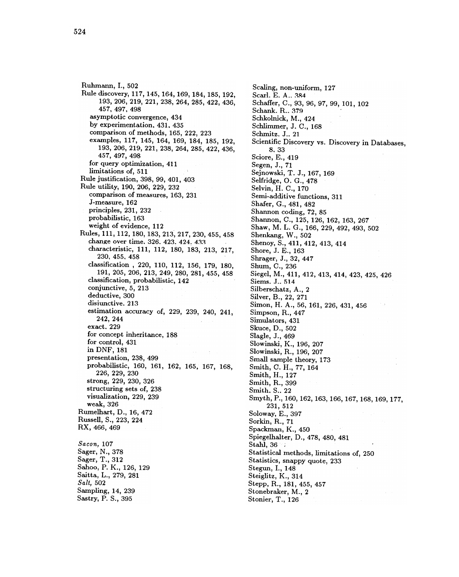Ruhmann, I., 502 Rule discovery , 117 , 145 , 164 , 169 , 184 , 185 , 192 , 193 , 206 , 219 , 221 , 238 , 264 , 285 , 422 , 436 , 457 , 497 , 498 asymptotic convergence , 434 by experimentation, 431, 435 comparison of methods, 165, 222, 223 examples, 117, 145, 164, 169, 184, 185, 192, 193, 206, 219, 221, 238, 264, 285, 422, 436, **193 , 206 , 219 , 206 , 219 , 206 , 219 , 206 , 206 , 206 , 206 , 206 , 206 , 206 , 206 , 206 , 206 , 206 , 20** for query optimization, 411 limitations of, 511<br>Rule justification, 398, 99, 401, 403 Rule utility, 190, 206, 229, 232 Rule utility , 190 , 206 , 229 , 232 comparison of measures , 163  $\mu$  231  $\mu$  231  $\mu$  231  $\mu$  231  $\mu$  231  $\mu$  231  $\mu$  231  $\mu$  231  $\mu$  231  $\mu$  231  $\mu$  231  $\mu$  231  $\mu$  231  $\mu$  231  $\mu$  231  $\mu$  231  $\mu$  231  $\mu$  231  $\mu$  231  $\mu$  231  $\mu$  231  $\mu$ J-measure, 162 principles, 231, 232 probabilistic, 163  $\bullet$  . The evidence of  $\bullet$ Rules , 111 , 111 , 112 , 112 , 112 , 112 , 112 , 112 , 112 , 113 , 113 , 113 , 113 , 113 , 113 , 113 , 113 , 1 change over time. 326. 423. 424. 433 characteristic, 111, 112, 180, 183, 213, 217, 230, 455, 458 classification , 220 percent , 220 percent , 120 percent , 120 percent , 120 percent , 120 percent , 120 perce 191 , 205 , 206 , 206 , 206 , 206 , 206 , 206 , 280 , 281 , 281 , 281 , 281 , 281 , 281 , 281 , 281 , 281 , 28 classification, probabilistic, 142 conjunctive, 5, 213 deductive, 300 disjunctive. 213  $242, 244$ exact. 229 for concept inheritance, 188 for control, 431 in DNF, 181 presentation , 238 , 499 probabilistic , 160 , 160 , 160 , 160 , 160 , 160 , 162 , 162 , 167 , 168 , 169 , 160 , 161 , 162 , 162 , 168 , 226, 229, 230 strong, 229, 230, 326 structuring sets of, 238 visualization, 229, 239 weak, 326 Rumelhart, D., 16, 472 Russell, S., 223, 224 RX , 466, 469 Bacon, 107 Sager, N., 378 Sager, T., 312 Sahoo, P. K., 126, 129 Saitta, L., 279, 281 Balt, 502 Sampling, 14, 239 Sastry, P. S., 395

Scaling, non-uniform, 127 Scarl. E. A.. 384 Schaffer, C., 93, 96, 97, 99, 101, 102 Schank. R., 379 Schkolnick , M ., 424 Schlimmer, J. C., 168 Schmitz. J., 21 Scientific Discovery vs. Discovery in Databases, 8 . 33 Sciore, E., 419 Segen, J., 71 Sejnowski, T. J., 167, 169 Selfridge, O. G., 478 Selvin, H. C., 170 Semi-additive functions, 311 Shafer, G., 481, 482 Shannon coding, 72, 85 Shannon, C., 125, 126, 162, 163, 267 Shaw, M. L. G., 166, 229, 492, 493, 502 Shenkang, W., 502 Shenoy, S., 411, 412, 413, 414 Shore, J. E., 163 Shrager, J., 32, 447 Shum, C., 236 Siegel, M., 411, 412, 413, 414, 423, 425, 426 Siems. J.. 514 Silberschatz, A., 2 Silver, B., 22, 271 Simon, H. A., 56, 161, 226, 431, 456 Simpson, R., 447 Simulators, 431 Skuce, D., 502 Slagle, J., 469 Slowinski, K., 196, 207 Slowinski, R., 196, 207 Small sample theory, 173 Smith, C. H., 77, 164 Smith, H., 127 Smith, R., 399 Smith. S., 22 Smyth, P., 160, 162, 163, 166, 167, 168, 169, 177, 231 , 512 Soloway, E., 397 Sorkin, R., 71 Spackman, K., 450 Spiegelhalter, D., 478, 480, 481  $Stahl, 36$ Statistical methods, limitations of, 250 Statistics, snappy quote, 233 Stegun, I., 148 Steiglitz, K., 314 Stepp, R., 181, 455, 457 Stonebraker, M., 2 Stonier, T., 126